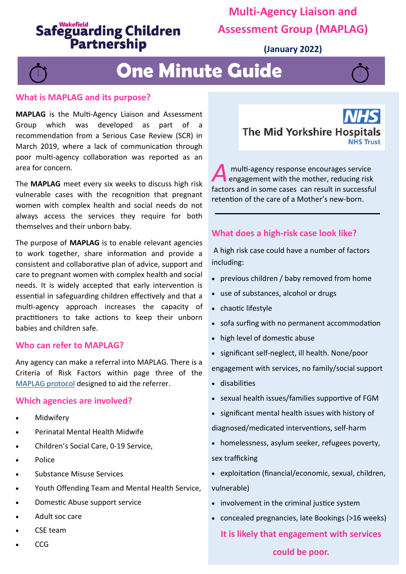## **Safeguarding Children** Partnership

### **Multi-Agency Liaison and Assessment Group (MAPLAG)**

**(January 2022)**

# **One Minute Guide**



**MAPLAG** is the Multi-Agency Liaison and Assessment Group which was developed as part of a recommendation from a Serious Case Review (SCR) in March 2019, where a lack of communication through poor multi-agency collaboration was reported as an area for concern.

The **MAPLAG** meet every six weeks to discuss high risk vulnerable cases with the recognition that pregnant women with complex health and social needs do not always access the services they require for both themselves and their unborn baby.

The purpose of **MAPLAG** is to enable relevant agencies to work together, share information and provide a consistent and collaborative plan of advice, support and care to pregnant women with complex health and social needs. It is widely accepted that early intervention is essential in safeguarding children effectively and that a multi-agency approach increases the capacity of practitioners to take actions to keep their unborn babies and children safe.

#### **Who can refer to MAPLAG?**

Any agency can make a referral into MAPLAG. There is a Criteria of Risk Factors within page three of the [MAPLAG protocol](file:///G:/WSCP/One Minute Guides/OMG MAPLAG/Protocol for Multi-Agency Assessment  Support for High Risk Vulnerable Pregnant Women  their babies - Final for WSCP.docx) designed to aid the referrer.

#### **Which agencies are involved?**

- **Midwifery**
- Perinatal Mental Health Midwife
- Children's Social Care, 0-19 Service,
- Police
- Substance Misuse Services
- Youth Offending Team and Mental Health Service,
- Domestic Abuse support service
- Adult soc care
- CSE team
- CCG



A multi-agency response encourages service<br>
engagement with the mother, reducing risk<br>
factors and in some cases can result in successful multi-agency response encourages service engagement with the mother, reducing risk retention of the care of a Mother's new-born.

### **What does a high-risk case look like?**

A high risk case could have a number of factors including:

- previous children / baby removed from home
- use of substances, alcohol or drugs
- chaotic lifestyle
- sofa surfing with no permanent accommodation
- high level of domestic abuse
- significant self-neglect, ill health. None/poor

engagement with services, no family/social support

- disabilities
- sexual health issues/families supportive of FGM
- significant mental health issues with history of

diagnosed/medicated interventions, self-harm

- homelessness, asylum seeker, refugees poverty, sex trafficking
- exploitation (financial/economic, sexual, children, vulnerable)
- involvement in the criminal justice system
- concealed pregnancies, late Bookings (>16 weeks)

**It is likely that engagement with services** 

#### **could be poor.**